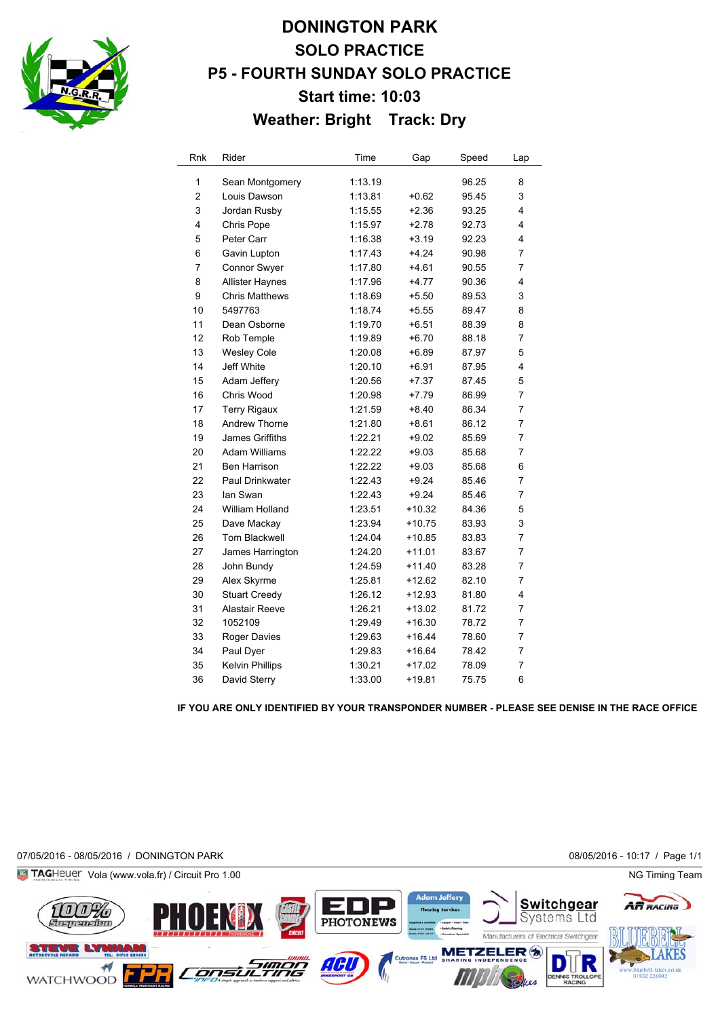

## **DONINGTON PARK SOLO PRACTICE P5 - FOURTH SUNDAY SOLO PRACTICE Start time: 10:03 Weather: Bright Track: Dry**

| Rnk                     | Rider                  | Time    | Gap      | Speed | Lap            |
|-------------------------|------------------------|---------|----------|-------|----------------|
| 1                       | Sean Montgomery        | 1:13.19 |          | 96.25 | 8              |
| $\overline{\mathbf{c}}$ | Louis Dawson           | 1:13.81 | $+0.62$  | 95.45 | 3              |
| 3                       | Jordan Rusby           | 1:15.55 | $+2.36$  | 93.25 | 4              |
| 4                       | Chris Pope             | 1:15.97 | $+2.78$  | 92.73 | 4              |
| 5                       | Peter Carr             | 1:16.38 | $+3.19$  | 92.23 | 4              |
| 6                       | Gavin Lupton           | 1:17.43 | $+4.24$  | 90.98 | 7              |
| 7                       | Connor Swyer           | 1:17.80 | $+4.61$  | 90.55 | 7              |
| 8                       | <b>Allister Haynes</b> | 1:17.96 | $+4.77$  | 90.36 | 4              |
| 9                       | <b>Chris Matthews</b>  | 1:18.69 | $+5.50$  | 89.53 | 3              |
| 10                      | 5497763                | 1:18.74 | $+5.55$  | 89.47 | 8              |
| 11                      | Dean Osborne           | 1:19.70 | $+6.51$  | 88.39 | 8              |
| 12                      | Rob Temple             | 1:19.89 | $+6.70$  | 88.18 | 7              |
| 13                      | <b>Wesley Cole</b>     | 1:20.08 | $+6.89$  | 87.97 | 5              |
| 14                      | Jeff White             | 1:20.10 | $+6.91$  | 87.95 | 4              |
| 15                      | Adam Jeffery           | 1:20.56 | $+7.37$  | 87.45 | 5              |
| 16                      | Chris Wood             | 1:20.98 | $+7.79$  | 86.99 | 7              |
| 17                      | <b>Terry Rigaux</b>    | 1:21.59 | $+8.40$  | 86.34 | 7              |
| 18                      | Andrew Thorne          | 1:21.80 | $+8.61$  | 86.12 | 7              |
| 19                      | James Griffiths        | 1:22.21 | $+9.02$  | 85.69 | 7              |
| 20                      | Adam Williams          | 1:22.22 | $+9.03$  | 85.68 | 7              |
| 21                      | Ben Harrison           | 1:22.22 | $+9.03$  | 85.68 | 6              |
| 22                      | Paul Drinkwater        | 1:22.43 | $+9.24$  | 85.46 | 7              |
| 23                      | lan Swan               | 1:22.43 | $+9.24$  | 85.46 | 7              |
| 24                      | William Holland        | 1:23.51 | $+10.32$ | 84.36 | 5              |
| 25                      | Dave Mackay            | 1:23.94 | $+10.75$ | 83.93 | 3              |
| 26                      | <b>Tom Blackwell</b>   | 1:24.04 | $+10.85$ | 83.83 | 7              |
| 27                      | James Harrington       | 1:24.20 | $+11.01$ | 83.67 | $\overline{7}$ |
| 28                      | John Bundy             | 1:24.59 | $+11.40$ | 83.28 | 7              |
| 29                      | Alex Skyrme            | 1:25.81 | +12.62   | 82.10 | 7              |
| 30                      | <b>Stuart Creedy</b>   | 1:26.12 | $+12.93$ | 81.80 | 4              |
| 31                      | <b>Alastair Reeve</b>  | 1:26.21 | $+13.02$ | 81.72 | $\overline{7}$ |
| 32                      | 1052109                | 1:29.49 | $+16.30$ | 78.72 | $\overline{7}$ |
| 33                      | <b>Roger Davies</b>    | 1:29.63 | $+16.44$ | 78.60 | 7              |
| 34                      | Paul Dyer              | 1:29.83 | $+16.64$ | 78.42 | 7              |
| 35                      | <b>Kelvin Phillips</b> | 1:30.21 | $+17.02$ | 78.09 | 7              |
| 36                      | David Sterry           | 1:33.00 | +19.81   | 75.75 | 6              |

**IF YOU ARE ONLY IDENTIFIED BY YOUR TRANSPONDER NUMBER - PLEASE SEE DENISE IN THE RACE OFFICE**

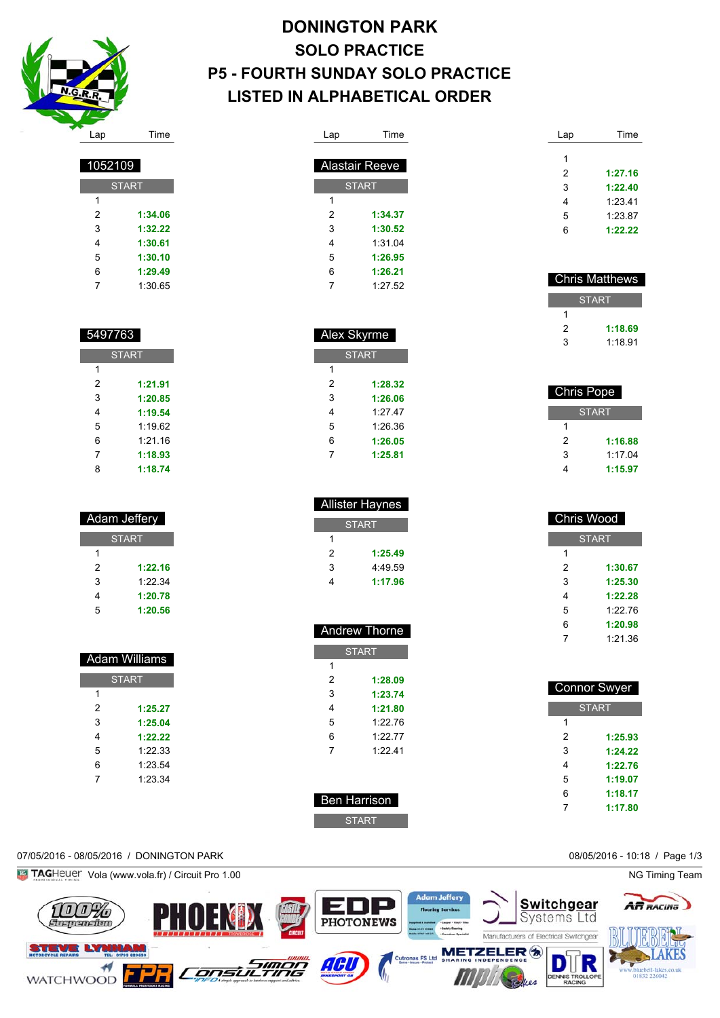

START

 **1:34.06 1:32.22 1:30.61 1:30.10 1:29.49** 1:30.65

| <b>DONINGTON PARK</b>                   |
|-----------------------------------------|
| <b>SOLO PRACTICE</b>                    |
| <b>P5 - FOURTH SUNDAY SOLO PRACTICE</b> |
| LISTED IN ALPHABETICAL ORDER            |

| Lap | Time                  |
|-----|-----------------------|
|     |                       |
|     | <b>Alastair Reeve</b> |
|     | <b>START</b>          |
| 1   |                       |
| 2   | 1:34.37               |
| 3   | 1:30.52               |
| 4   | 1:31.04               |
| 5   | 1:26.95               |
| 6   | 1:26.21               |
| 7   | 1:27.52               |

| Alex Skyrme |              |  |
|-------------|--------------|--|
|             | <b>START</b> |  |
| 1           |              |  |
| 2           | 1:28.32      |  |
| 3           | 1:26.06      |  |
| 4           | 1:27.47      |  |
| 5           | 1.26.36      |  |
| 6           | 1:26.05      |  |
| 7           | 1:25.81      |  |

| <b>Allister Haynes</b> |              |
|------------------------|--------------|
|                        | <b>START</b> |
| 1                      |              |
| 2                      | 1:25.49      |
| 3                      | 4.49.59      |
|                        | 1:17.96      |

| <b>Andrew Thorne</b> |         |  |
|----------------------|---------|--|
| <b>START</b>         |         |  |
| 1                    |         |  |
| 2                    | 1:28.09 |  |
| 3                    | 1:23.74 |  |
| 4                    | 1:21.80 |  |
| 5                    | 1:2276  |  |
| 6                    | 1:2277  |  |
| 7                    | 1.2241  |  |
|                      |         |  |

| Lap | Time    |
|-----|---------|
|     |         |
| 1   |         |
| 2   | 1:27.16 |
| 3   | 1:22.40 |
| 4   | 1:23.41 |
| 5   | 1:23.87 |
| 6   | 1:22.22 |

| <b>Chris Matthews</b> |
|-----------------------|
|                       |
|                       |
| 1:18.69               |
| 1.18.91               |
|                       |

| <b>Chris Pope</b> |              |
|-------------------|--------------|
|                   | <b>START</b> |
| 1                 |              |
| 2                 | 1:16.88      |
| 3                 | 1.1704       |
| 4                 | 1:15.97      |

| <b>Chris Wood</b> |         |  |
|-------------------|---------|--|
| <b>START</b>      |         |  |
| 1                 |         |  |
| 2                 | 1:30.67 |  |
| 3                 | 1:25.30 |  |
| 4                 | 1:22.28 |  |
| 5                 | 1.22.76 |  |
| 6                 | 1:20.98 |  |
| 7                 | 1:21.36 |  |

| Connor Swyer |              |  |
|--------------|--------------|--|
|              | <b>START</b> |  |
| 1            |              |  |
| 2            | 1:25.93      |  |
| 3            | 1:24.22      |  |
| 4            | 1:22.76      |  |
| 5            | 1:19.07      |  |
| 6            | 1:18.17      |  |
|              | 1:17.80      |  |

## 07/05/2016 - 08/05/2016 / DONINGTON PARK 08/05/2016 - 10:18 / Page 1/3





 Ben Harrison START

|   | <b>START</b> |
|---|--------------|
| 1 |              |
| 2 | 1:21.91      |
| 3 | 1:20.85      |
| 4 | 1:19.54      |

| 5 | 1:19.62 |
|---|---------|
| 6 | 1:21.16 |
| 7 | 1:18.93 |
| 8 | 1:18.74 |

| Adam Jeffery |         |  |
|--------------|---------|--|
| <b>START</b> |         |  |
| 1            |         |  |
| 2            | 1:22.16 |  |
| 3            | 1.22.34 |  |
| 4            | 1:20.78 |  |
| 5            | 1:20.56 |  |

| <b>Adam Williams</b> |         |  |
|----------------------|---------|--|
| <b>START</b>         |         |  |
| 1                    |         |  |
| 2                    | 1:25.27 |  |
| 3                    | 1:25.04 |  |
| 4                    | 1・22 22 |  |
| 5                    | 1:22.33 |  |
| 6                    | 1:23.54 |  |
|                      | 1:23.34 |  |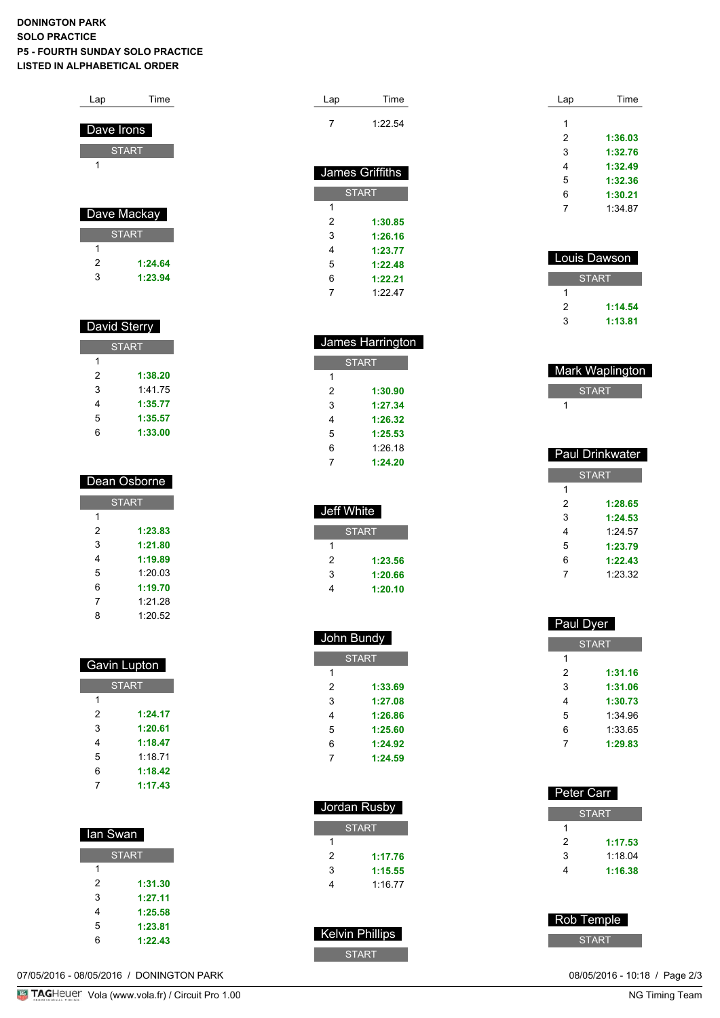## **DONINGTON PARK SOLO PRACTICE P5 - FOURTH SUNDAY SOLO PRACTICE LISTED IN ALPHABETICAL ORDER**

| Lap        | Time         |  |
|------------|--------------|--|
|            |              |  |
| Dave Irons |              |  |
|            | <b>START</b> |  |
| 1          |              |  |
|            |              |  |
|            |              |  |
|            | Dave Mackay  |  |
|            | <b>START</b> |  |
| 1          |              |  |
| 2          | 1:24.64      |  |
| 3          | 1:23.94      |  |

| David Sterry |         |  |
|--------------|---------|--|
| <b>START</b> |         |  |
| 1            |         |  |
| 2            | 1:38.20 |  |
| 3            | 1:41.75 |  |
| 4            | 1:35.77 |  |
| 5            | 1:35.57 |  |
| 6            | 1:33.00 |  |

| Dean Osborne |         |  |
|--------------|---------|--|
| <b>START</b> |         |  |
| 1            |         |  |
| 2            | 1:23.83 |  |
| 3            | 1:21.80 |  |
| 4            | 1:19.89 |  |
| 5            | 1:2003  |  |
| 6            | 1:19.70 |  |
| 7            | 1:21.28 |  |
| 8            | 1:20.52 |  |

| <b>Gavin Lupton</b> |         |  |
|---------------------|---------|--|
| <b>START</b>        |         |  |
| 1                   |         |  |
| 2                   | 1:24.17 |  |
| 3                   | 1:20.61 |  |
| 4                   | 1:18.47 |  |
| 5                   | 1.1871  |  |
| 6                   | 1:18.42 |  |
|                     | 1:17.43 |  |

| lan Swan     |         |  |
|--------------|---------|--|
| <b>START</b> |         |  |
| 1            |         |  |
| 2            | 1:31.30 |  |
| 3            | 1:27.11 |  |
| 4            | 1:25.58 |  |
| 5            | 1:23.81 |  |
| հ            | 1:22.43 |  |

07/05/2016 - 08/05/2016 / DONINGTON PARK

| Lap             | Time    |
|-----------------|---------|
|                 | 1:22.54 |
|                 |         |
| James Griffiths |         |

| <b>START</b> |         |  |
|--------------|---------|--|
| 1            |         |  |
| 2            | 1:30.85 |  |
| 3            | 1:26.16 |  |
| 4            | 1:23.77 |  |
| 5            | 1:22.48 |  |
| 6            | 1:22.21 |  |
|              | 1:2247  |  |

| James Harrington |         |  |
|------------------|---------|--|
| <b>START</b>     |         |  |
| 1                |         |  |
| 2                | 1:30.90 |  |
| 3                | 1:27.34 |  |
| 4                | 1:26.32 |  |
| 5                | 1:25.53 |  |
| 6                | 1:26.18 |  |
|                  | 1:24.20 |  |

| Jeff White   |         |  |
|--------------|---------|--|
| <b>START</b> |         |  |
|              |         |  |
| 2            | 1:23.56 |  |
| 3            | 1:20.66 |  |
|              | 1:20.10 |  |

| John Bundy   |         |  |
|--------------|---------|--|
| <b>START</b> |         |  |
| 1            |         |  |
| 2            | 1:33.69 |  |
| 3            | 1:27.08 |  |
| 4            | 1:26.86 |  |
| 5            | 1:25.60 |  |
| 6            | 1:24.92 |  |
| 7            | 1:24.59 |  |

| Jordan Rusby |         |  |
|--------------|---------|--|
| <b>START</b> |         |  |
| 1            |         |  |
| 2            | 1:17.76 |  |
| 3            | 1:15.55 |  |
| 4            | 1.1677  |  |
|              |         |  |

| <b>Kelvin Phillips</b> |
|------------------------|
| 'START                 |

| Lap | Time    |
|-----|---------|
| 1   |         |
| 2   | 1:36.03 |
| 3   | 1:32.76 |
| 4   | 1:32.49 |
| 5   | 1:32.36 |
| 6   | 1:30.21 |
| 7   | 1:34.87 |

| Louis Dawson |         |  |
|--------------|---------|--|
| <b>START</b> |         |  |
|              |         |  |
| 2            | 1:14.54 |  |
| 3            | 1:13.81 |  |

| <b>Mark Waplington</b> |  |
|------------------------|--|
| <b>START</b>           |  |
|                        |  |

|              | Paul Drinkwater |  |
|--------------|-----------------|--|
| <b>START</b> |                 |  |
| 1            |                 |  |
| 2            | 1:28.65         |  |
| 3            | 1:24.53         |  |
| 4            | 1.24.57         |  |
| 5            | 1:23.79         |  |
| 6            | 1:22.43         |  |
| 7            | 1:23.32         |  |
|              |                 |  |

| Paul Dyer |   |              |
|-----------|---|--------------|
|           |   | <b>START</b> |
|           | 1 |              |
|           | 2 | 1:31.16      |
|           | 3 | 1:31.06      |
|           | 4 | 1:30.73      |
|           | 5 | 1:34.96      |
|           | 6 | 1:33.65      |
|           | 7 | 1:29.83      |
|           |   |              |

| Rob Temple |
|------------|
| START      |

08/05/2016 - 10:18 / Page 2/3